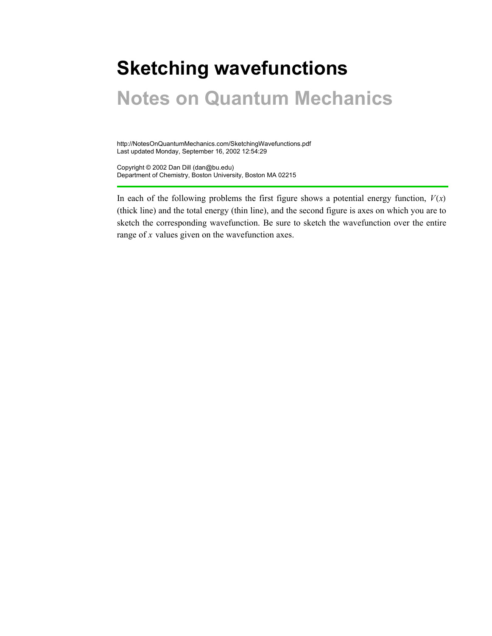# **Sketching wavefunctions**

## **Notes on Quantum Mechanics**

http://NotesOnQuantumMechanics.com/SketchingWavefunctions.pdf Last updated Monday, September 16, 2002 12:54:29

Copyright © 2002 Dan Dill (dan@bu.edu) Department of Chemistry, Boston University, Boston MA 02215

In each of the following problems the first figure shows a potential energy function,  $V(x)$ (thick line) and the total energy (thin line), and the second figure is axes on which you are to sketch the corresponding wavefunction. Be sure to sketch the wavefunction over the entire range of *x* values given on the wavefunction axes.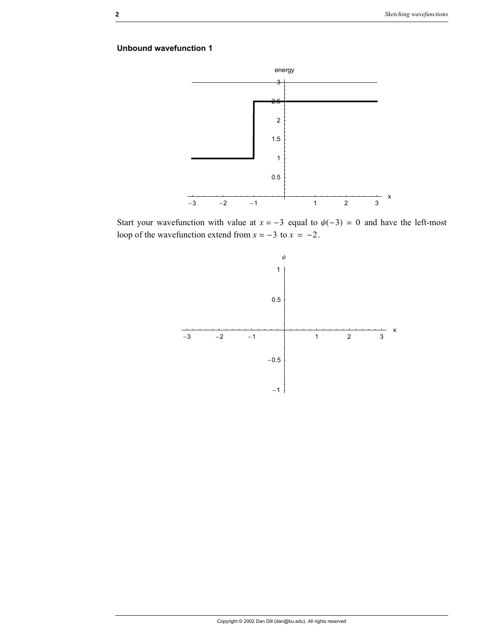

Start your wavefunction with value at  $x = -3$  equal to  $\psi(-3) = 0$  and have the left-most loop of the wavefunction extend from  $x = -3$  to  $x = -2$ .

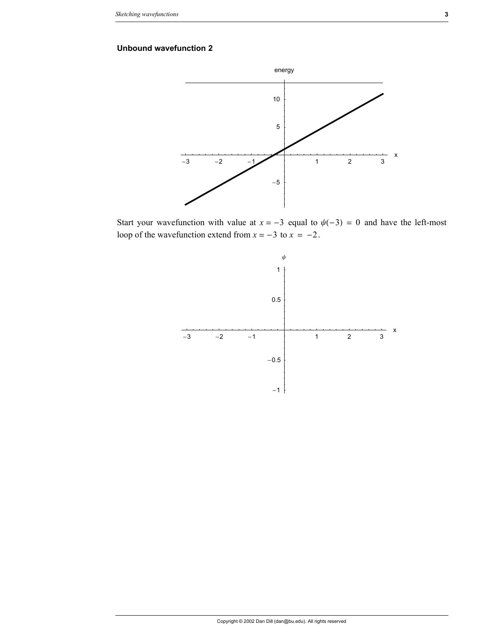

Start your wavefunction with value at  $x = -3$  equal to  $\psi(-3) = 0$  and have the left-most loop of the wavefunction extend from  $x = -3$  to  $x = -2$ .

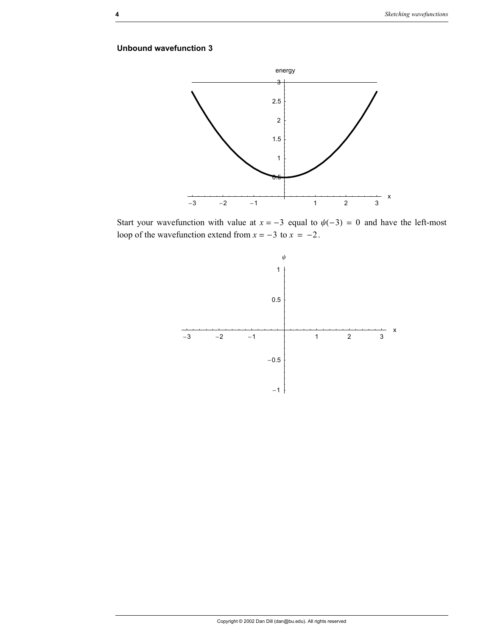

Start your wavefunction with value at  $x = -3$  equal to  $\psi(-3) = 0$  and have the left-most loop of the wavefunction extend from  $x = -3$  to  $x = -2$ .

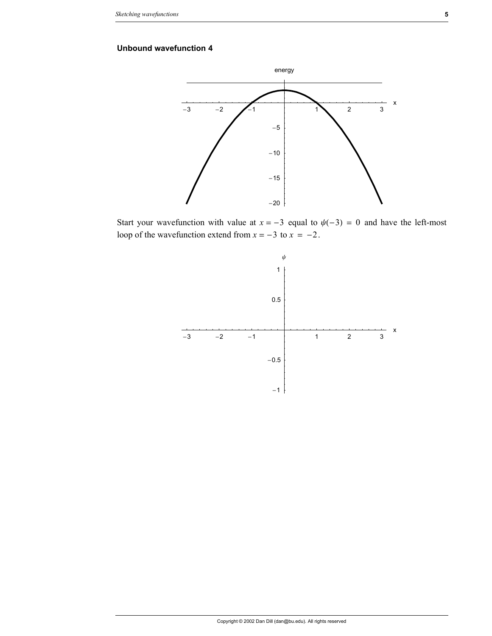

Start your wavefunction with value at  $x = -3$  equal to  $\psi(-3) = 0$  and have the left-most loop of the wavefunction extend from  $x = -3$  to  $x = -2$ .

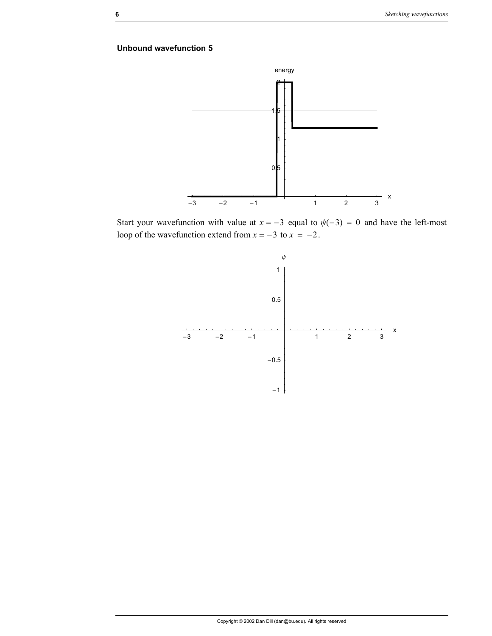

Start your wavefunction with value at  $x = -3$  equal to  $\psi(-3) = 0$  and have the left-most loop of the wavefunction extend from  $x = -3$  to  $x = -2$ .

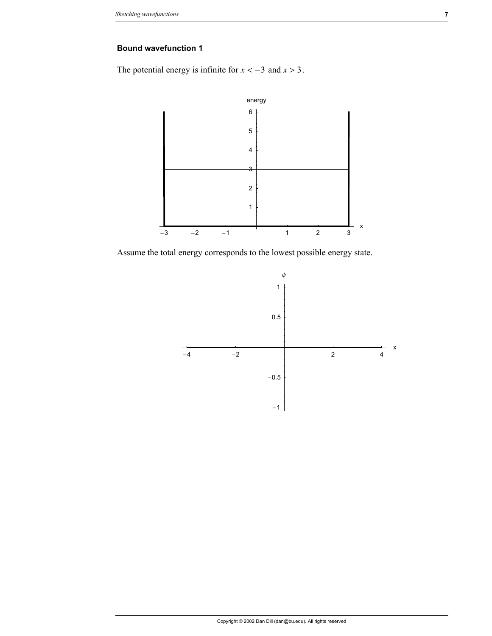The potential energy is infinite for  $x < -3$  and  $x > 3$ .



Assume the total energy corresponds to the lowest possible energy state.

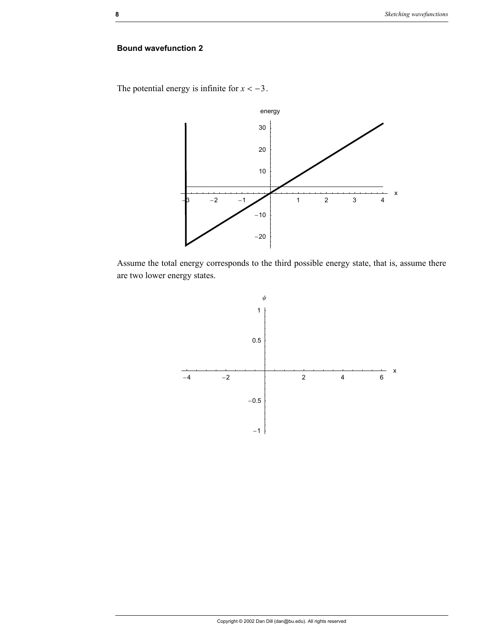The potential energy is infinite for  $x < -3$ .



Assume the total energy corresponds to the third possible energy state, that is, assume there are two lower energy states.

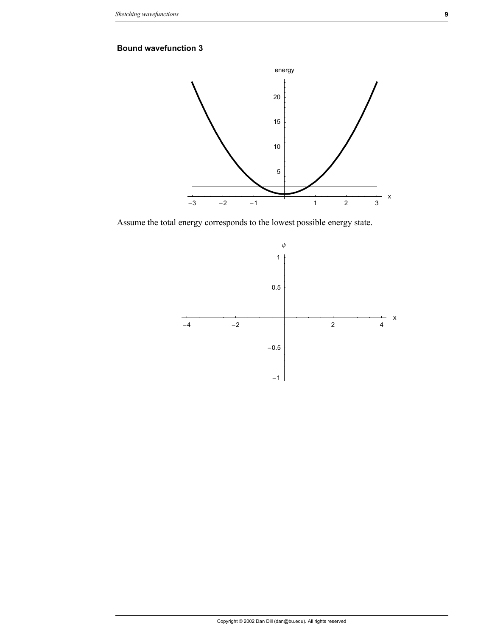

Assume the total energy corresponds to the lowest possible energy state.

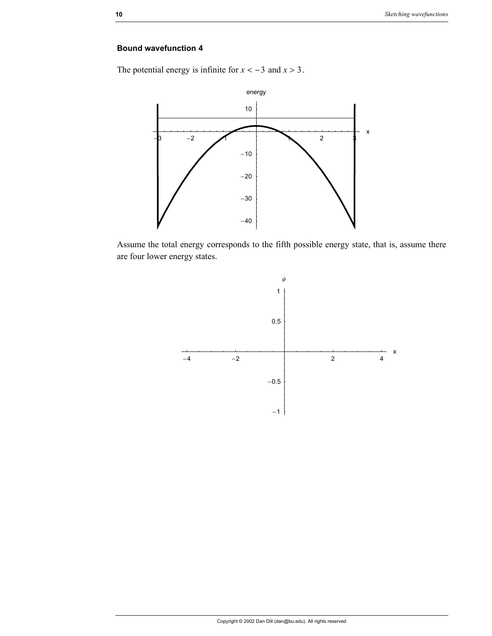The potential energy is infinite for  $x < -3$  and  $x > 3$ .



Assume the total energy corresponds to the fifth possible energy state, that is, assume there are four lower energy states.